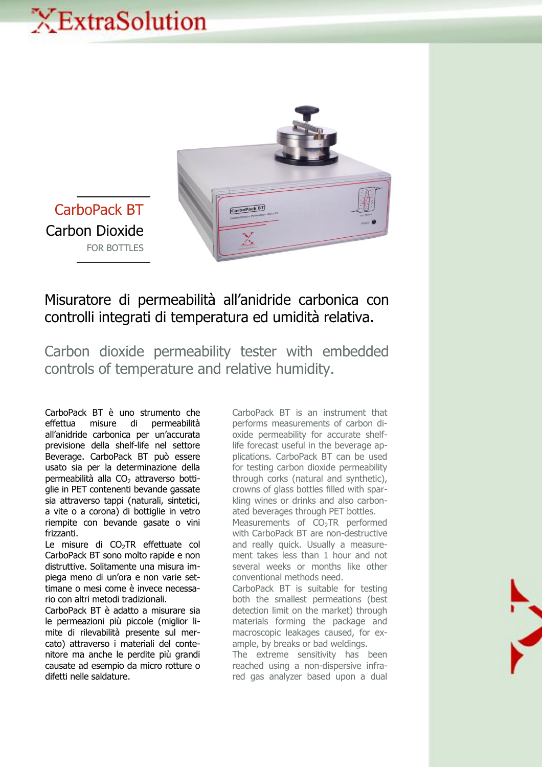## XExtraSolution



CarboPack BT Carbon Dioxide FOR BOTTLES

## Misuratore di permeabilità all'anidride carbonica con controlli integrati di temperatura ed umidità relativa.

Carbon dioxide permeability tester with embedded controls of temperature and relative humidity.

CarboPack BT è uno strumento che effettua misure di permeabilità all'anidride carbonica per un'accurata previsione della shelf-life nel settore Beverage. CarboPack BT può essere usato sia per la determinazione della permeabilità alla  $CO<sub>2</sub>$  attraverso bottiglie in PET contenenti bevande gassate sia attraverso tappi (naturali, sintetici, a vite o a corona) di bottiglie in vetro riempite con bevande gasate o vini frizzanti.

Le misure di CO<sub>2</sub>TR effettuate col CarboPack BT sono molto rapide e non distruttive. Solitamente una misura impiega meno di un'ora e non varie settimane o mesi come è invece necessario con altri metodi tradizionali.

CarboPack BT è adatto a misurare sia le permeazioni più piccole (miglior limite di rilevabilità presente sul mercato) attraverso i materiali del contenitore ma anche le perdite più grandi causate ad esempio da micro rotture o difetti nelle saldature.

CarboPack BT is an instrument that performs measurements of carbon dioxide permeability for accurate shelflife forecast useful in the beverage applications. CarboPack BT can be used for testing carbon dioxide permeability through corks (natural and synthetic), crowns of glass bottles filled with sparkling wines or drinks and also carbonated beverages through PET bottles.

Measurements of CO<sub>2</sub>TR performed with CarboPack BT are non-destructive and really quick. Usually a measurement takes less than 1 hour and not several weeks or months like other conventional methods need.

CarboPack BT is suitable for testing both the smallest permeations (best detection limit on the market) through materials forming the package and macroscopic leakages caused, for example, by breaks or bad weldings.

The extreme sensitivity has been reached using a non-dispersive infrared gas analyzer based upon a dual